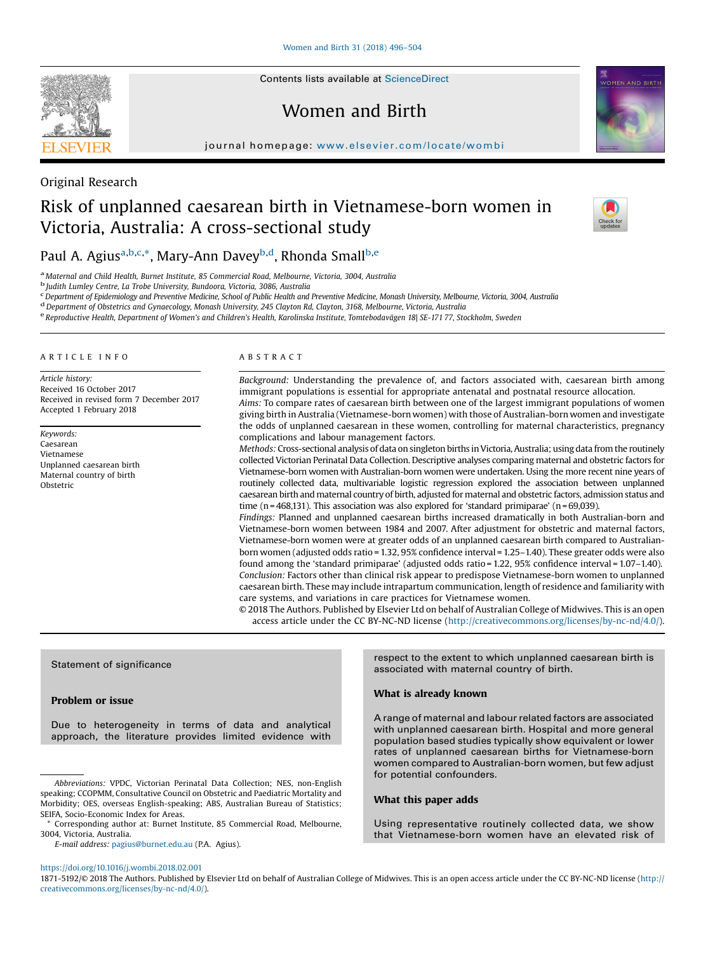# Women and Birth

journal homepage: <www.elsevier.com/locate/wombi>

# Original Research

# Risk of unplanned caesarean birth in Vietnamese-born women in Victoria, Australia: A cross-sectional study

# Paul A. Agius<sup>a,b,c,</sup>\*, Mary-Ann Davey<sup>b,d</sup>, Rhonda Small<sup>b,e</sup>

<sup>a</sup> Maternal and Child Health, Burnet Institute, 85 Commercial Road, Melbourne, Victoria, 3004, Australia<br><sup>b</sup> Judith Lumley Centre, La Trobe University, Bundoora, Victoria, 3086, Australia<br><sup>c</sup> Department of Epidemiology an

<sup>d</sup> Department of Obstetrics and Gynaecology, Monash University, 245 Clayton Rd, Clayton, 3168, Melbourne, Victoria, Australia<br><sup>e</sup> Reproductive Health, Department of Women's and Children's Health, Karolinska Institute, Tom

#### A R T I C L E I N F O

Article history: Received 16 October 2017 Received in revised form 7 December 2017 Accepted 1 February 2018

Keywords: Caesarean Vietnamese Unplanned caesarean birth Maternal country of birth Obstetric

### A B S T R A C T

Background: Understanding the prevalence of, and factors associated with, caesarean birth among immigrant populations is essential for appropriate antenatal and postnatal resource allocation. Aims: To compare rates of caesarean birth between one of the largest immigrant populations of women giving birth in Australia (Vietnamese-born women) with those of Australian-born women and investigate the odds of unplanned caesarean in these women, controlling for maternal characteristics, pregnancy complications and labour management factors.

Methods: Cross-sectional analysis of data on singleton births in Victoria, Australia; using data from the routinely collected Victorian Perinatal Data Collection. Descriptive analyses comparing maternal and obstetric factors for Vietnamese-born women with Australian-born women were undertaken. Using the more recent nine years of routinely collected data, multivariable logistic regression explored the association between unplanned caesarean birth and maternal country of birth, adjusted for maternal and obstetric factors, admission status and time (n=468,131). This association was also explored for 'standard primiparae' (n=69,039).

Findings: Planned and unplanned caesarean births increased dramatically in both Australian-born and Vietnamese-born women between 1984 and 2007. After adjustment for obstetric and maternal factors, Vietnamese-born women were at greater odds of an unplanned caesarean birth compared to Australianborn women (adjusted odds ratio = 1.32, 95% confidence interval = 1.25–1.40). These greater odds were also found among the 'standard primiparae' (adjusted odds ratio = 1.22, 95% confidence interval = 1.07–1.40). Conclusion: Factors other than clinical risk appear to predispose Vietnamese-born women to unplanned caesarean birth. These may include intrapartum communication, length of residence and familiarity with care systems, and variations in care practices for Vietnamese women.

© 2018 The Authors. Published by Elsevier Ltd on behalf of Australian College of Midwives. This is an open access article under the CC BY-NC-ND license [\(http://creativecommons.org/licenses/by-nc-nd/4.0/](http://creativecommons.org/licenses/by-nc-nd/4.0/)).

Statement of significance

# Problem or issue

Due to heterogeneity in terms of data and analytical approach, the literature provides limited evidence with

E-mail address: [pagius@burnet.edu.au](mailto:pagius@burnet.edu.au) (P.A. Agius).

<https://doi.org/10.1016/j.wombi.2018.02.001>

respect to the extent to which unplanned caesarean birth is associated with maternal country of birth.

# What is already known

A range of maternal and labour related factors are associated with unplanned caesarean birth. Hospital and more general population based studies typically show equivalent or lower rates of unplanned caesarean births for Vietnamese-born women compared to Australian-born women, but few adjust for potential confounders.

### What this paper adds

Using representative routinely collected data, we show that Vietnamese-born women have an elevated risk of

1871-5192/© 2018 The Authors. Published by Elsevier Ltd on behalf of Australian College of Midwives. This is an open access article under the CC BY-NC-ND license ([http://](http://creativecommons.org/licenses/by-nc-nd/4.0/) [creativecommons.org/licenses/by-nc-nd/4.0/](http://creativecommons.org/licenses/by-nc-nd/4.0/)).







Abbreviations: VPDC, Victorian Perinatal Data Collection; NES, non-English speaking; CCOPMM, Consultative Council on Obstetric and Paediatric Mortality and Morbidity; OES, overseas English-speaking; ABS, Australian Bureau of Statistics; SEIFA, Socio-Economic Index for Areas.

<sup>\*</sup> Corresponding author at: Burnet Institute, 85 Commercial Road, Melbourne, 3004, Victoria, Australia.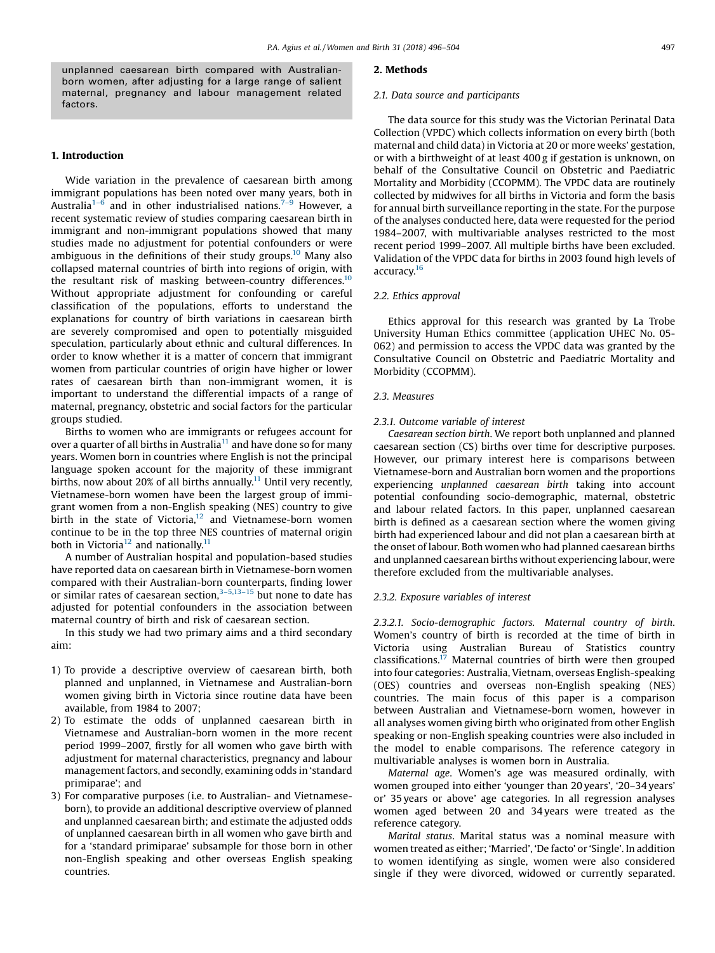unplanned caesarean birth compared with Australianborn women, after adjusting for a large range of salient maternal, pregnancy and labour management related factors.

# 1. Introduction

Wide variation in the prevalence of caesarean birth among immigrant populations has been noted over many years, both in Australia<sup>1–6</sup> and in other [industrialised](#page-7-0) nations.<sup>7–9</sup> [However,](#page-7-0) a recent systematic review of studies comparing caesarean birth in immigrant and non-immigrant populations showed that many studies made no adjustment for potential confounders or were ambiguous in the definitions of their study groups.<sup>10</sup> Many also collapsed maternal countries of birth into regions of origin, with the resultant risk of masking between-country differences.<sup>10</sup> Without appropriate adjustment for confounding or careful classification of the populations, efforts to understand the explanations for country of birth variations in caesarean birth are severely compromised and open to potentially misguided speculation, particularly about ethnic and cultural differences. In order to know whether it is a matter of concern that immigrant women from particular countries of origin have higher or lower rates of caesarean birth than non-immigrant women, it is important to understand the differential impacts of a range of maternal, pregnancy, obstetric and social factors for the particular groups studied.

Births to women who are immigrants or refugees account for over a quarter of all births in Australia<sup>11</sup> and have done so for many years. Women born in countries where English is not the principal language spoken account for the majority of these immigrant births, now about 20% of all births annually.<sup>[11](#page-7-0)</sup> Until very recently, Vietnamese-born women have been the largest group of immigrant women from a non-English speaking (NES) country to give birth in the state of Victoria,<sup>12</sup> and Vietnamese-born women continue to be in the top three NES countries of maternal origin both in Victoria<sup>12</sup> and nationally.<sup>[11](#page-7-0)</sup>

A number of Australian hospital and population-based studies have reported data on caesarean birth in Vietnamese-born women compared with their Australian-born counterparts, finding lower or similar rates of caesarean section, $3-5,13-15$  but [none](#page-7-0) to date has adjusted for potential confounders in the association between maternal country of birth and risk of caesarean section.

In this study we had two primary aims and a third secondary aim:

- 1) To provide a descriptive overview of caesarean birth, both planned and unplanned, in Vietnamese and Australian-born women giving birth in Victoria since routine data have been available, from 1984 to 2007;
- 2) To estimate the odds of unplanned caesarean birth in Vietnamese and Australian-born women in the more recent period 1999–2007, firstly for all women who gave birth with adjustment for maternal characteristics, pregnancy and labour management factors, and secondly, examining odds in 'standard primiparae'; and
- 3) For comparative purposes (i.e. to Australian- and Vietnameseborn), to provide an additional descriptive overview of planned and unplanned caesarean birth; and estimate the adjusted odds of unplanned caesarean birth in all women who gave birth and for a 'standard primiparae' subsample for those born in other non-English speaking and other overseas English speaking countries.

#### 2. Methods

#### 2.1. Data source and participants

The data source for this study was the Victorian Perinatal Data Collection (VPDC) which collects information on every birth (both maternal and child data) in Victoria at 20 or more weeks' gestation, or with a birthweight of at least 400 g if gestation is unknown, on behalf of the Consultative Council on Obstetric and Paediatric Mortality and Morbidity (CCOPMM). The VPDC data are routinely collected by midwives for all births in Victoria and form the basis for annual birth surveillance reporting in the state. For the purpose of the analyses conducted here, data were requested for the period 1984–2007, with multivariable analyses restricted to the most recent period 1999–2007. All multiple births have been excluded. Validation of the VPDC data for births in 2003 found high levels of accuracy[.16](#page-8-0)

#### 2.2. Ethics approval

Ethics approval for this research was granted by La Trobe University Human Ethics committee (application UHEC No. 05- 062) and permission to access the VPDC data was granted by the Consultative Council on Obstetric and Paediatric Mortality and Morbidity (CCOPMM).

#### 2.3. Measures

#### 2.3.1. Outcome variable of interest

Caesarean section birth. We report both unplanned and planned caesarean section (CS) births over time for descriptive purposes. However, our primary interest here is comparisons between Vietnamese-born and Australian born women and the proportions experiencing unplanned caesarean birth taking into account potential confounding socio-demographic, maternal, obstetric and labour related factors. In this paper, unplanned caesarean birth is defined as a caesarean section where the women giving birth had experienced labour and did not plan a caesarean birth at the onset of labour. Both women who had planned caesarean births and unplanned caesarean births without experiencing labour, were therefore excluded from the multivariable analyses.

### 2.3.2. Exposure variables of interest

2.3.2.1. Socio-demographic factors. Maternal country of birth. Women's country of birth is recorded at the time of birth in Victoria using Australian Bureau of Statistics country classifications.<sup>[17](#page-8-0)</sup> Maternal countries of birth were then grouped into four categories: Australia, Vietnam, overseas English-speaking (OES) countries and overseas non-English speaking (NES) countries. The main focus of this paper is a comparison between Australian and Vietnamese-born women, however in all analyses women giving birth who originated from other English speaking or non-English speaking countries were also included in the model to enable comparisons. The reference category in multivariable analyses is women born in Australia.

Maternal age. Women's age was measured ordinally, with women grouped into either 'younger than 20 years', '20–34 years' or' 35 years or above' age categories. In all regression analyses women aged between 20 and 34 years were treated as the reference category.

Marital status. Marital status was a nominal measure with women treated as either; 'Married', 'De facto' or 'Single'. In addition to women identifying as single, women were also considered single if they were divorced, widowed or currently separated.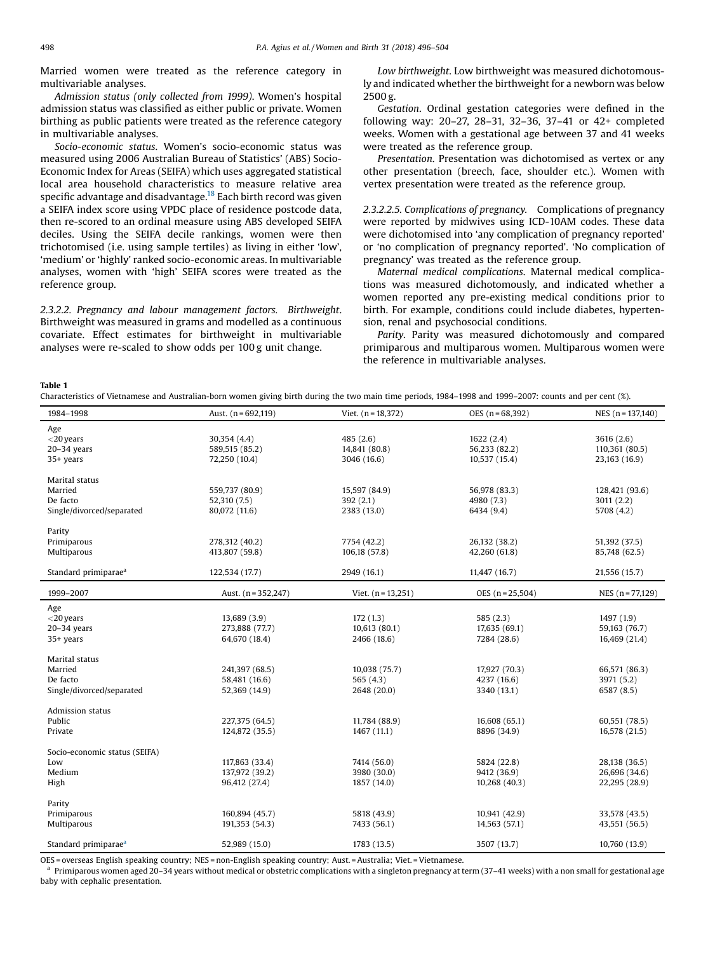<span id="page-2-0"></span>Married women were treated as the reference category in multivariable analyses.

Admission status (only collected from 1999). Women's hospital admission status was classified as either public or private. Women birthing as public patients were treated as the reference category in multivariable analyses.

Socio-economic status. Women's socio-economic status was measured using 2006 Australian Bureau of Statistics' (ABS) Socio-Economic Index for Areas (SEIFA) which uses aggregated statistical local area household characteristics to measure relative area specific advantage and disadvantage.<sup>[18](#page-8-0)</sup> Each birth record was given a SEIFA index score using VPDC place of residence postcode data, then re-scored to an ordinal measure using ABS developed SEIFA deciles. Using the SEIFA decile rankings, women were then trichotomised (i.e. using sample tertiles) as living in either 'low', 'medium' or 'highly' ranked socio-economic areas. In multivariable analyses, women with 'high' SEIFA scores were treated as the reference group.

2.3.2.2. Pregnancy and labour management factors. Birthweight. Birthweight was measured in grams and modelled as a continuous covariate. Effect estimates for birthweight in multivariable analyses were re-scaled to show odds per 100 g unit change.

Low birthweight. Low birthweight was measured dichotomously and indicated whether the birthweight for a newborn was below 2500 g.

Gestation. Ordinal gestation categories were defined in the following way: 20–27, 28–31, 32–36, 37–41 or 42+ completed weeks. Women with a gestational age between 37 and 41 weeks were treated as the reference group.

Presentation. Presentation was dichotomised as vertex or any other presentation (breech, face, shoulder etc.). Women with vertex presentation were treated as the reference group.

2.3.2.2.5. Complications of pregnancy. Complications of pregnancy were reported by midwives using ICD-10AM codes. These data were dichotomised into 'any complication of pregnancy reported' or 'no complication of pregnancy reported'. 'No complication of pregnancy' was treated as the reference group.

Maternal medical complications. Maternal medical complications was measured dichotomously, and indicated whether a women reported any pre-existing medical conditions prior to birth. For example, conditions could include diabetes, hypertension, renal and psychosocial conditions.

Parity. Parity was measured dichotomously and compared primiparous and multiparous women. Multiparous women were the reference in multivariable analyses.

Table 1

Characteristics of Vietnamese and Australian-born women giving birth during the two main time periods, 1984–1998 and 1999–2007: counts and per cent (%).

| 1984-1998                        | Aust. $(n = 692, 119)$ | Viet. $(n = 18,372)$ | $DES (n = 68,392)$ | NES $(n = 137,140)$ |
|----------------------------------|------------------------|----------------------|--------------------|---------------------|
| Age                              |                        |                      |                    |                     |
| $<$ 20 years                     | 30,354 (4.4)           | 485 (2.6)            | 1622(2.4)          | 3616(2.6)           |
| $20-34$ years                    | 589,515 (85.2)         | 14,841 (80.8)        | 56,233 (82.2)      | 110,361 (80.5)      |
| $35+$ years                      | 72,250 (10.4)          | 3046 (16.6)          | 10,537 (15.4)      | 23,163 (16.9)       |
|                                  |                        |                      |                    |                     |
| Marital status                   |                        |                      |                    |                     |
| Married                          | 559,737 (80.9)         | 15,597 (84.9)        | 56,978 (83.3)      | 128,421 (93.6)      |
| De facto                         | 52,310 (7.5)           | 392 (2.1)            | 4980 (7.3)         | 3011 (2.2)          |
| Single/divorced/separated        | 80,072 (11.6)          | 2383 (13.0)          | 6434 (9.4)         | 5708 (4.2)          |
| Parity                           |                        |                      |                    |                     |
| Primiparous                      | 278,312 (40.2)         | 7754 (42.2)          | 26,132 (38.2)      | 51,392 (37.5)       |
| Multiparous                      | 413,807 (59.8)         | 106,18 (57.8)        | 42,260 (61.8)      | 85,748 (62.5)       |
|                                  |                        |                      |                    |                     |
| Standard primiparae <sup>a</sup> | 122,534 (17.7)         | 2949 (16.1)          | 11,447 (16.7)      | 21,556 (15.7)       |
| 1999-2007                        | Aust. $(n = 352,247)$  | Viet. $(n = 13,251)$ | $DES (n = 25,504)$ | NES $(n = 77,129)$  |
| Age                              |                        |                      |                    |                     |
| $<$ 20 years                     | 13,689 (3.9)           | 172(1.3)             | 585(2.3)           | 1497 (1.9)          |
| $20-34$ years                    | 273,888 (77.7)         | 10,613 (80.1)        | 17,635 (69.1)      | 59,163 (76.7)       |
| $35+$ years                      | 64,670 (18.4)          | 2466 (18.6)          | 7284 (28.6)        | 16,469 (21.4)       |
|                                  |                        |                      |                    |                     |
| Marital status                   |                        |                      |                    |                     |
| Married                          | 241,397 (68.5)         | 10,038 (75.7)        | 17,927 (70.3)      | 66,571 (86.3)       |
| De facto                         | 58,481 (16.6)          | 565 $(4.3)$          | 4237 (16.6)        | 3971 (5.2)          |
| Single/divorced/separated        | 52,369 (14.9)          | 2648 (20.0)          | 3340 (13.1)        | 6587 (8.5)          |
|                                  |                        |                      |                    |                     |
| Admission status                 |                        |                      |                    |                     |
| Public                           | 227,375 (64.5)         | 11,784 (88.9)        | 16,608 (65.1)      | 60,551 (78.5)       |
| Private                          | 124,872 (35.5)         | 1467 (11.1)          | 8896 (34.9)        | 16,578 (21.5)       |
| Socio-economic status (SEIFA)    |                        |                      |                    |                     |
| Low                              | 117,863 (33.4)         | 7414 (56.0)          | 5824 (22.8)        | 28,138 (36.5)       |
| Medium                           | 137,972 (39.2)         | 3980 (30.0)          | 9412 (36.9)        | 26,696 (34.6)       |
| High                             | 96,412 (27.4)          | 1857 (14.0)          | 10,268 (40.3)      | 22,295 (28.9)       |
|                                  |                        |                      |                    |                     |
| Parity                           |                        |                      |                    |                     |
| Primiparous                      | 160,894 (45.7)         | 5818 (43.9)          | 10,941 (42.9)      | 33,578 (43.5)       |
| Multiparous                      | 191,353 (54.3)         | 7433 (56.1)          | 14,563 (57.1)      | 43,551 (56.5)       |
|                                  |                        |                      |                    |                     |
| Standard primiparae <sup>a</sup> | 52,989 (15.0)          | 1783 (13.5)          | 3507 (13.7)        | 10,760 (13.9)       |

OES = overseas English speaking country; NES = non-English speaking country; Aust. = Australia; Viet. = Vietnamese.

Primiparous women aged 20-34 years without medical or obstetric complications with a singleton pregnancy at term (37-41 weeks) with a non small for gestational age baby with cephalic presentation.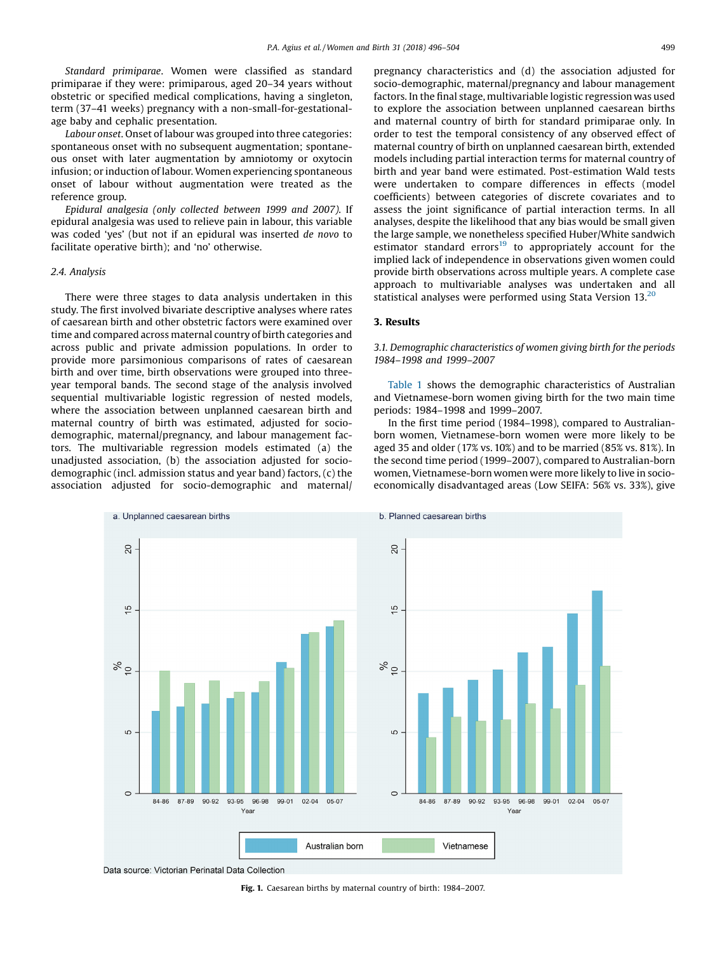<span id="page-3-0"></span>Standard primiparae. Women were classified as standard primiparae if they were: primiparous, aged 20–34 years without obstetric or specified medical complications, having a singleton, term (37–41 weeks) pregnancy with a non-small-for-gestationalage baby and cephalic presentation.

Labour onset. Onset of labour was grouped into three categories: spontaneous onset with no subsequent augmentation; spontaneous onset with later augmentation by amniotomy or oxytocin infusion; or induction of labour. Women experiencing spontaneous onset of labour without augmentation were treated as the reference group.

Epidural analgesia (only collected between 1999 and 2007). If epidural analgesia was used to relieve pain in labour, this variable was coded 'yes' (but not if an epidural was inserted de novo to facilitate operative birth); and 'no' otherwise.

#### 2.4. Analysis

There were three stages to data analysis undertaken in this study. The first involved bivariate descriptive analyses where rates of caesarean birth and other obstetric factors were examined over time and compared across maternal country of birth categories and across public and private admission populations. In order to provide more parsimonious comparisons of rates of caesarean birth and over time, birth observations were grouped into threeyear temporal bands. The second stage of the analysis involved sequential multivariable logistic regression of nested models, where the association between unplanned caesarean birth and maternal country of birth was estimated, adjusted for sociodemographic, maternal/pregnancy, and labour management factors. The multivariable regression models estimated (a) the unadjusted association, (b) the association adjusted for sociodemographic (incl. admission status and year band) factors, (c) the association adjusted for socio-demographic and maternal/ pregnancy characteristics and (d) the association adjusted for socio-demographic, maternal/pregnancy and labour management factors. In the final stage, multivariable logistic regression was used to explore the association between unplanned caesarean births and maternal country of birth for standard primiparae only. In order to test the temporal consistency of any observed effect of maternal country of birth on unplanned caesarean birth, extended models including partial interaction terms for maternal country of birth and year band were estimated. Post-estimation Wald tests were undertaken to compare differences in effects (model coefficients) between categories of discrete covariates and to assess the joint significance of partial interaction terms. In all analyses, despite the likelihood that any bias would be small given the large sample, we nonetheless specified Huber/White sandwich estimator standard errors $19$  to appropriately account for the implied lack of independence in observations given women could provide birth observations across multiple years. A complete case approach to multivariable analyses was undertaken and all statistical analyses were performed using Stata Version 13.<sup>20</sup>

### 3. Results

#### 3.1. Demographic characteristics of women giving birth for the periods 1984–1998 and 1999–2007

[Table](#page-2-0) 1 shows the demographic characteristics of Australian and Vietnamese-born women giving birth for the two main time periods: 1984–1998 and 1999–2007.

In the first time period (1984–1998), compared to Australianborn women, Vietnamese-born women were more likely to be aged 35 and older (17% vs. 10%) and to be married (85% vs. 81%). In the second time period (1999–2007), compared to Australian-born women, Vietnamese-born women were more likely to live in socioeconomically disadvantaged areas (Low SEIFA: 56% vs. 33%), give



Fig. 1. Caesarean births by maternal country of birth: 1984–2007.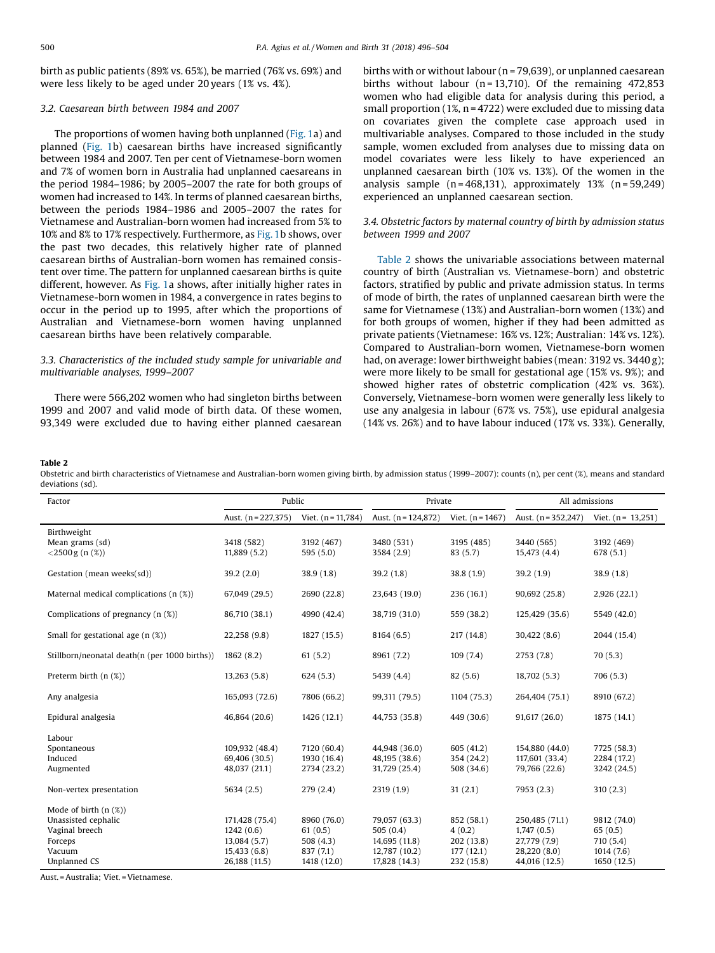<span id="page-4-0"></span>birth as public patients (89% vs. 65%), be married (76% vs. 69%) and were less likely to be aged under 20 years (1% vs. 4%).

# 3.2. Caesarean birth between 1984 and 2007

The proportions of women having both unplanned ([Fig.](#page-3-0) 1a) and planned [\(Fig.](#page-3-0) 1b) caesarean births have increased significantly between 1984 and 2007. Ten per cent of Vietnamese-born women and 7% of women born in Australia had unplanned caesareans in the period 1984–1986; by 2005–2007 the rate for both groups of women had increased to 14%. In terms of planned caesarean births, between the periods 1984–1986 and 2005–2007 the rates for Vietnamese and Australian-born women had increased from 5% to 10% and 8% to 17% respectively. Furthermore, as [Fig.1](#page-3-0)b shows, over the past two decades, this relatively higher rate of planned caesarean births of Australian-born women has remained consistent over time. The pattern for unplanned caesarean births is quite different, however. As [Fig.](#page-3-0) 1a shows, after initially higher rates in Vietnamese-born women in 1984, a convergence in rates begins to occur in the period up to 1995, after which the proportions of Australian and Vietnamese-born women having unplanned caesarean births have been relatively comparable.

# 3.3. Characteristics of the included study sample for univariable and multivariable analyses, 1999–2007

There were 566,202 women who had singleton births between 1999 and 2007 and valid mode of birth data. Of these women, 93,349 were excluded due to having either planned caesarean births with or without labour (n = 79,639), or unplanned caesarean births without labour  $(n = 13,710)$ . Of the remaining 472,853 women who had eligible data for analysis during this period, a small proportion  $(1\%, n = 4722)$  were excluded due to missing data on covariates given the complete case approach used in multivariable analyses. Compared to those included in the study sample, women excluded from analyses due to missing data on model covariates were less likely to have experienced an unplanned caesarean birth (10% vs. 13%). Of the women in the analysis sample  $(n = 468, 131)$ , approximately  $13\%$   $(n = 59, 249)$ experienced an unplanned caesarean section.

# 3.4. Obstetric factors by maternal country of birth by admission status between 1999 and 2007

Table 2 shows the univariable associations between maternal country of birth (Australian vs. Vietnamese-born) and obstetric factors, stratified by public and private admission status. In terms of mode of birth, the rates of unplanned caesarean birth were the same for Vietnamese (13%) and Australian-born women (13%) and for both groups of women, higher if they had been admitted as private patients (Vietnamese: 16% vs. 12%; Australian: 14% vs.12%). Compared to Australian-born women, Vietnamese-born women had, on average: lower birthweight babies (mean: 3192 vs. 3440 g); were more likely to be small for gestational age (15% vs. 9%); and showed higher rates of obstetric complication (42% vs. 36%). Conversely, Vietnamese-born women were generally less likely to use any analgesia in labour (67% vs. 75%), use epidural analgesia (14% vs. 26%) and to have labour induced (17% vs. 33%). Generally,

#### Table 2

Obstetric and birth characteristics of Vietnamese and Australian-born women giving birth, by admission status (1999–2007): counts (n), per cent (%), means and standard deviations (sd).

| Factor                                                                                                         | Public                                                                      |                                                                | Private                                                                      |                                                              | All admissions                                                                |                                                                 |  |
|----------------------------------------------------------------------------------------------------------------|-----------------------------------------------------------------------------|----------------------------------------------------------------|------------------------------------------------------------------------------|--------------------------------------------------------------|-------------------------------------------------------------------------------|-----------------------------------------------------------------|--|
|                                                                                                                | Aust. $(n = 227,375)$                                                       | Viet. $(n = 11, 784)$                                          | Aust. $(n = 124,872)$                                                        | Viet. $(n = 1467)$                                           | Aust. $(n = 352,247)$                                                         | Viet. $(n = 13,251)$                                            |  |
| Birthweight<br>Mean grams (sd)<br>$<$ 2500 g (n $(\%)$ )                                                       | 3418 (582)<br>11,889 (5.2)                                                  | 3192 (467)<br>595 (5.0)                                        | 3480 (531)<br>3584 (2.9)                                                     | 3195 (485)<br>83 (5.7)                                       | 3440 (565)<br>15,473 (4.4)                                                    | 3192 (469)<br>678 (5.1)                                         |  |
| Gestation (mean weeks(sd))                                                                                     | 39.2(2.0)                                                                   | 38.9(1.8)                                                      | 39.2(1.8)                                                                    | 38.8(1.9)                                                    | 39.2(1.9)                                                                     | 38.9(1.8)                                                       |  |
| Maternal medical complications (n (%))                                                                         | 67,049 (29.5)                                                               | 2690 (22.8)                                                    | 23,643 (19.0)                                                                | 236(16.1)                                                    | 90,692 (25.8)                                                                 | 2,926(22.1)                                                     |  |
| Complications of pregnancy $(n %)$                                                                             | 86,710 (38.1)                                                               | 4990 (42.4)                                                    | 38,719 (31.0)                                                                | 559 (38.2)                                                   | 125,429 (35.6)                                                                | 5549 (42.0)                                                     |  |
| Small for gestational age $(n$ $(\%)$                                                                          | 22,258 (9.8)                                                                | 1827 (15.5)                                                    | 8164 (6.5)                                                                   | 217 (14.8)                                                   | 30,422(8.6)                                                                   | 2044 (15.4)                                                     |  |
| Stillborn/neonatal death(n (per 1000 births))                                                                  | 1862 (8.2)                                                                  | 61(5.2)                                                        | 8961 (7.2)                                                                   | 109(7.4)                                                     | 2753 (7.8)                                                                    | 70(5.3)                                                         |  |
| Preterm birth $(n$ $(\%)$                                                                                      | 13,263(5.8)                                                                 | 624(5.3)                                                       | 5439 (4.4)                                                                   | 82 (5.6)                                                     | 18,702 (5.3)                                                                  | 706(5.3)                                                        |  |
| Any analgesia                                                                                                  | 165,093 (72.6)                                                              | 7806 (66.2)                                                    | 99,311 (79.5)                                                                | 1104 (75.3)                                                  | 264,404 (75.1)                                                                | 8910 (67.2)                                                     |  |
| Epidural analgesia                                                                                             | 46,864 (20.6)                                                               | 1426 (12.1)                                                    | 44,753 (35.8)                                                                | 449 (30.6)                                                   | 91,617 (26.0)                                                                 | 1875 (14.1)                                                     |  |
| Labour<br>Spontaneous<br>Induced<br>Augmented                                                                  | 109,932 (48.4)<br>69,406 (30.5)<br>48,037 (21.1)                            | 7120 (60.4)<br>1930 (16.4)<br>2734 (23.2)                      | 44,948 (36.0)<br>48,195 (38.6)<br>31,729 (25.4)                              | 605 (41.2)<br>354 (24.2)<br>508 (34.6)                       | 154,880 (44.0)<br>117,601 (33.4)<br>79,766 (22.6)                             | 7725 (58.3)<br>2284 (17.2)<br>3242 (24.5)                       |  |
| Non-vertex presentation                                                                                        | 5634(2.5)                                                                   | 279(2.4)                                                       | 2319 (1.9)                                                                   | 31(2.1)                                                      | 7953 (2.3)                                                                    | 310(2.3)                                                        |  |
| Mode of birth $(n$ $(\%)$<br>Unassisted cephalic<br>Vaginal breech<br>Forceps<br>Vacuum<br><b>Unplanned CS</b> | 171,428 (75.4)<br>1242(0.6)<br>13,084 (5.7)<br>15,433(6.8)<br>26,188 (11.5) | 8960 (76.0)<br>61(0.5)<br>508(4.3)<br>837 (7.1)<br>1418 (12.0) | 79,057 (63.3)<br>505(0.4)<br>14,695 (11.8)<br>12,787 (10.2)<br>17,828 (14.3) | 852 (58.1)<br>4(0.2)<br>202(13.8)<br>177(12.1)<br>232 (15.8) | 250,485 (71.1)<br>1,747(0.5)<br>27,779 (7.9)<br>28,220 (8.0)<br>44,016 (12.5) | 9812 (74.0)<br>65(0.5)<br>710 (5.4)<br>1014(7.6)<br>1650 (12.5) |  |

Aust. = Australia; Viet. = Vietnamese.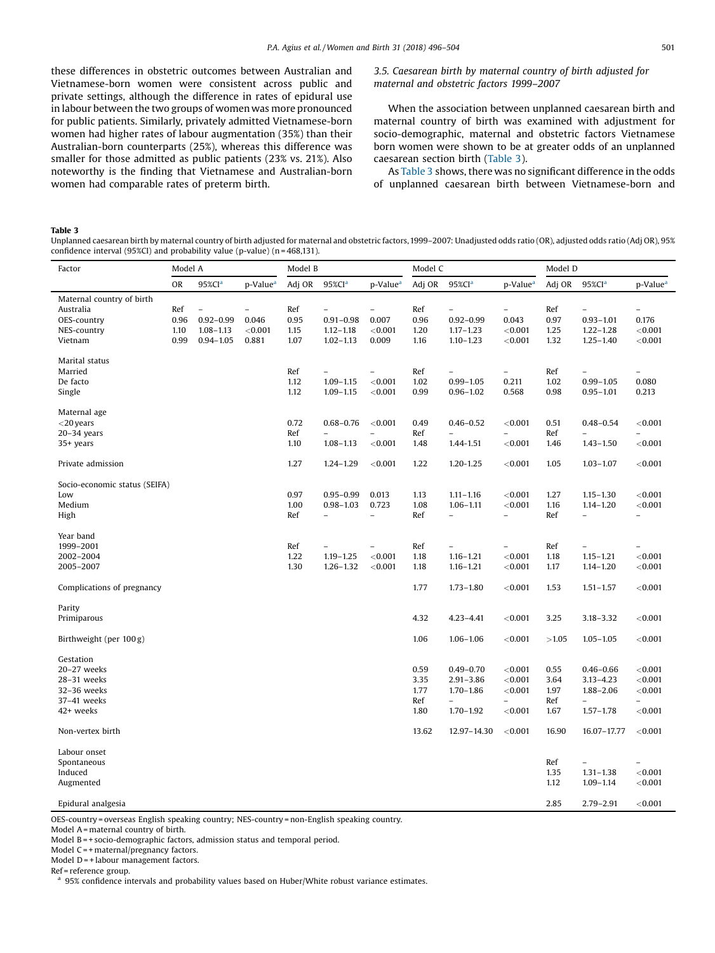these differences in obstetric outcomes between Australian and Vietnamese-born women were consistent across public and private settings, although the difference in rates of epidural use in labour between the two groups of women was more pronounced for public patients. Similarly, privately admitted Vietnamese-born women had higher rates of labour augmentation (35%) than their Australian-born counterparts (25%), whereas this difference was smaller for those admitted as public patients (23% vs. 21%). Also noteworthy is the finding that Vietnamese and Australian-born women had comparable rates of preterm birth.

# 3.5. Caesarean birth by maternal country of birth adjusted for maternal and obstetric factors 1999–2007

When the association between unplanned caesarean birth and maternal country of birth was examined with adjustment for socio-demographic, maternal and obstetric factors Vietnamese born women were shown to be at greater odds of an unplanned caesarean section birth (Table 3).

As Table 3 shows, there was no significant difference in the odds of unplanned caesarean birth between Vietnamese-born and

#### Table 3

Unplanned caesarean birth by maternal country of birth adjusted for maternal and obstetric factors, 1999–2007: Unadjusted odds ratio (OR), adjusted odds ratio (Adj OR), 95% confidence interval (95%CI) and probability value (p-value) ( $n = 468,131$ ).

| Factor                                                                             | Model A                     |                                                 | Model B                   |                             | Model C                                          |                                                | Model D                             |                                                                              |                                                         |                                     |                                                                                              |                                                |
|------------------------------------------------------------------------------------|-----------------------------|-------------------------------------------------|---------------------------|-----------------------------|--------------------------------------------------|------------------------------------------------|-------------------------------------|------------------------------------------------------------------------------|---------------------------------------------------------|-------------------------------------|----------------------------------------------------------------------------------------------|------------------------------------------------|
|                                                                                    | <b>OR</b>                   | 95%CI <sup>a</sup>                              | p-Value <sup>a</sup>      | Adj OR                      | $95\%$ CI <sup>a</sup>                           | p-Value <sup>a</sup>                           | Adj OR                              | $95\%$ CI <sup>a</sup>                                                       | p-Value <sup>a</sup>                                    | Adj OR                              | $95\%$ CI <sup>a</sup>                                                                       | p-Value <sup>a</sup>                           |
| Maternal country of birth<br>Australia<br>OES-country<br>NES-country<br>Vietnam    | Ref<br>0.96<br>1.10<br>0.99 | $0.92 - 0.99$<br>$1.08 - 1.13$<br>$0.94 - 1.05$ | 0.046<br>< 0.001<br>0.881 | Ref<br>0.95<br>1.15<br>1.07 | $0.91 - 0.98$<br>$1.12 - 1.18$<br>$1.02 - 1.13$  | $\equiv$<br>0.007<br>< 0.001<br>0.009          | Ref<br>0.96<br>1.20<br>1.16         | $0.92 - 0.99$<br>$1.17 - 1.23$<br>$1.10 - 1.23$                              | $\overline{\phantom{0}}$<br>0.043<br>< 0.001<br>< 0.001 | Ref<br>0.97<br>1.25<br>1.32         | $0.93 - 1.01$<br>$1,22-1,28$<br>$1.25 - 1.40$                                                | 0.176<br>< 0.001<br>< 0.001                    |
| Marital status<br>Married<br>De facto<br>Single                                    |                             |                                                 |                           | Ref<br>1.12<br>1.12         | $\equiv$<br>$1.09 - 1.15$<br>$1.09 - 1.15$       | $\equiv$<br>< 0.001<br>< 0.001                 | Ref<br>1.02<br>0.99                 | $\equiv$<br>$0.99 - 1.05$<br>$0.96 - 1.02$                                   | $\equiv$<br>0.211<br>0.568                              | Ref<br>1.02<br>0.98                 | ÷.<br>$0.99 - 1.05$<br>$0.95 - 1.01$                                                         | $\equiv$<br>0.080<br>0.213                     |
| Maternal age<br>$<$ 20 years<br>$20-34$ years<br>$35+$ years<br>Private admission  |                             |                                                 |                           | 0.72<br>Ref<br>1.10<br>1.27 | $0.68 - 0.76$<br>$1.08 - 1.13$<br>$1.24 - 1.29$  | < 0.001<br>< 0.001<br>< 0.001                  | 0.49<br>Ref<br>1.48<br>1.22         | $0.46 - 0.52$<br>$\equiv$<br>1.44-1.51<br>$1,20-1,25$                        | < 0.001<br>÷.<br>< 0.001<br>< 0.001                     | 0.51<br>Ref<br>1.46<br>1.05         | $0.48 - 0.54$<br>$1.43 - 1.50$<br>$1.03 - 1.07$                                              | < 0.001<br>< 0.001<br>< 0.001                  |
| Socio-economic status (SEIFA)<br>Low<br>Medium<br>High                             |                             |                                                 |                           | 0.97<br>1.00<br>Ref         | $0.95 - 0.99$<br>$0.98 - 1.03$<br>$\overline{a}$ | 0.013<br>0.723                                 | 1.13<br>1.08<br>Ref                 | $1,11 - 1,16$<br>$1.06 - 1.11$<br>$\equiv$                                   | < 0.001<br>< 0.001<br>$\overline{a}$                    | 1.27<br>1.16<br>Ref                 | $1.15 - 1.30$<br>$1.14 - 1.20$<br>$\overline{\phantom{0}}$                                   | < 0.001<br>< 0.001<br>$\overline{\phantom{0}}$ |
| Year band<br>1999-2001<br>2002-2004<br>2005-2007                                   |                             |                                                 |                           | Ref<br>1.22<br>1.30         | $\overline{a}$<br>$1.19 - 1.25$<br>$1.26 - 1.32$ | $\overline{\phantom{a}}$<br>< 0.001<br>< 0.001 | Ref<br>1.18<br>1.18                 | $\equiv$<br>$1.16 - 1.21$<br>$1.16 - 1.21$                                   | $\qquad \qquad -$<br>< 0.001<br>< 0.001                 | Ref<br>1.18<br>1.17                 | ÷.<br>$1.15 - 1.21$<br>$1.14 - 1.20$                                                         | $\equiv$<br>< 0.001<br>< 0.001                 |
| Complications of pregnancy                                                         |                             |                                                 |                           |                             |                                                  |                                                | 1.77                                | $1,73 - 1,80$                                                                | < 0.001                                                 | 1.53                                | $1.51 - 1.57$                                                                                | < 0.001                                        |
| Parity<br>Primiparous                                                              |                             |                                                 |                           |                             |                                                  |                                                | 4.32                                | $4.23 - 4.41$                                                                | < 0.001                                                 | 3.25                                | $3.18 - 3.32$                                                                                | < 0.001                                        |
| Birthweight (per 100 g)                                                            |                             |                                                 |                           |                             |                                                  |                                                | 1.06                                | $1.06 - 1.06$                                                                | < 0.001                                                 | >1.05                               | $1.05 - 1.05$                                                                                | < 0.001                                        |
| Gestation<br>20-27 weeks<br>28-31 weeks<br>32-36 weeks<br>37-41 weeks<br>42+ weeks |                             |                                                 |                           |                             |                                                  |                                                | 0.59<br>3.35<br>1.77<br>Ref<br>1.80 | $0.49 - 0.70$<br>$2.91 - 3.86$<br>$1.70 - 1.86$<br>$\equiv$<br>$1.70 - 1.92$ | < 0.001<br>< 0.001<br>< 0.001<br>÷.<br>< 0.001          | 0.55<br>3.64<br>1.97<br>Ref<br>1.67 | $0.46 - 0.66$<br>$3.13 - 4.23$<br>$1.88 - 2.06$<br>$\overline{\phantom{0}}$<br>$1.57 - 1.78$ | < 0.001<br>< 0.001<br>< 0.001<br>÷<br>< 0.001  |
| Non-vertex birth                                                                   |                             |                                                 |                           |                             |                                                  |                                                | 13.62                               | 12.97-14.30                                                                  | < 0.001                                                 | 16.90                               | 16.07-17.77                                                                                  | < 0.001                                        |
| Labour onset<br>Spontaneous<br>Induced<br>Augmented                                |                             |                                                 |                           |                             |                                                  |                                                |                                     |                                                                              |                                                         | Ref<br>1.35<br>1.12                 | $1.31 - 1.38$<br>$1.09 - 1.14$                                                               | < 0.001<br>< 0.001                             |
| Epidural analgesia                                                                 |                             |                                                 |                           |                             |                                                  |                                                |                                     |                                                                              |                                                         | 2.85                                | $2.79 - 2.91$                                                                                | < 0.001                                        |

OES-country = overseas English speaking country; NES-country = non-English speaking country.

Model A= maternal country of birth.

Model B = + socio-demographic factors, admission status and temporal period.

Model C = + maternal/pregnancy factors. Model  $D = +$  labour management factors.

Ref = reference group.

95% confidence intervals and probability values based on Huber/White robust variance estimates.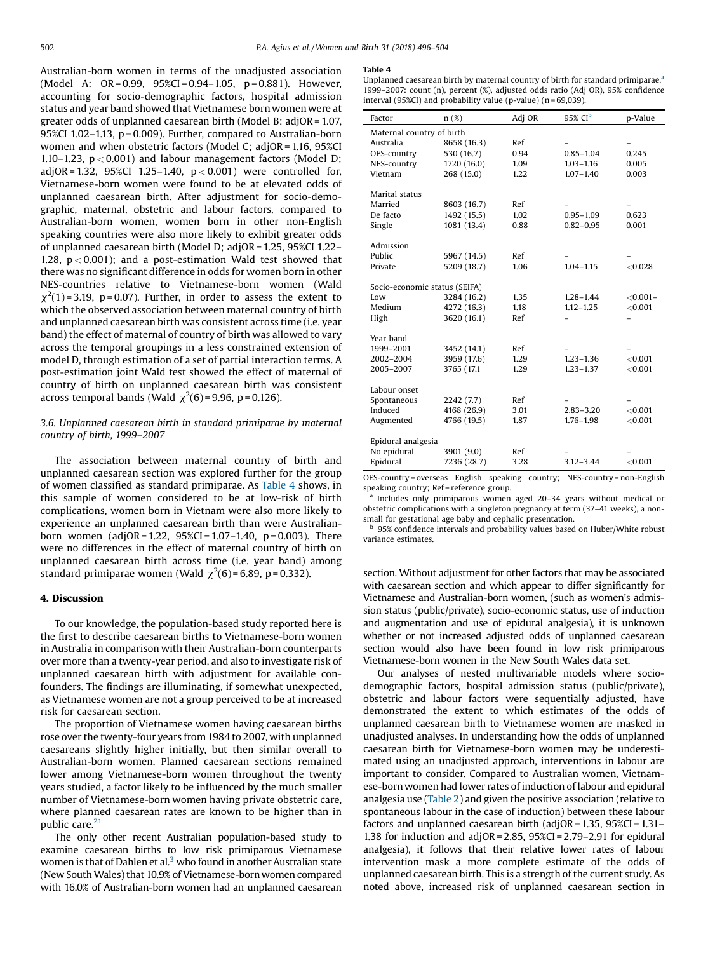Australian-born women in terms of the unadjusted association (Model A: OR = 0.99, 95%CI = 0.94–1.05, p = 0.881). However, accounting for socio-demographic factors, hospital admission status and year band showed that Vietnamese born women were at greater odds of unplanned caesarean birth (Model B: adjOR = 1.07, 95%CI 1.02-1.13, p = 0.009). Further, compared to Australian-born women and when obstetric factors (Model C; adjOR = 1.16, 95%CI 1.10–1.23,  $p < 0.001$ ) and labour management factors (Model D; adjOR = 1.32, 95%CI 1.25-1.40,  $p < 0.001$ ) were controlled for, Vietnamese-born women were found to be at elevated odds of unplanned caesarean birth. After adjustment for socio-demographic, maternal, obstetric and labour factors, compared to Australian-born women, women born in other non-English speaking countries were also more likely to exhibit greater odds of unplanned caesarean birth (Model D; adjOR = 1.25, 95%CI 1.22– 1.28,  $p < 0.001$ ); and a post-estimation Wald test showed that there was no significant difference in odds for women born in other NES-countries relative to Vietnamese-born women (Wald  $\chi^2(1)$  = 3.19, p = 0.07). Further, in order to assess the extent to which the observed association between maternal country of birth and unplanned caesarean birth was consistent across time (i.e. year band) the effect of maternal of country of birth was allowed to vary across the temporal groupings in a less constrained extension of model D, through estimation of a set of partial interaction terms. A post-estimation joint Wald test showed the effect of maternal of country of birth on unplanned caesarean birth was consistent across temporal bands (Wald  $\chi^2(6)$  = 9.96, p = 0.126).

# 3.6. Unplanned caesarean birth in standard primiparae by maternal country of birth, 1999–2007

The association between maternal country of birth and unplanned caesarean section was explored further for the group of women classified as standard primiparae. As Table 4 shows, in this sample of women considered to be at low-risk of birth complications, women born in Vietnam were also more likely to experience an unplanned caesarean birth than were Australianborn women  $\text{(adjOR = 1.22, 95\% CI = 1.07-1.40, p = 0.003)}$ . There were no differences in the effect of maternal country of birth on unplanned caesarean birth across time (i.e. year band) among standard primiparae women (Wald  $\chi^2(6)$ =6.89, p=0.332).

#### 4. Discussion

To our knowledge, the population-based study reported here is the first to describe caesarean births to Vietnamese-born women in Australia in comparison with their Australian-born counterparts over more than a twenty-year period, and also to investigate risk of unplanned caesarean birth with adjustment for available confounders. The findings are illuminating, if somewhat unexpected, as Vietnamese women are not a group perceived to be at increased risk for caesarean section.

The proportion of Vietnamese women having caesarean births rose over the twenty-four years from 1984 to 2007, with unplanned caesareans slightly higher initially, but then similar overall to Australian-born women. Planned caesarean sections remained lower among Vietnamese-born women throughout the twenty years studied, a factor likely to be influenced by the much smaller number of Vietnamese-born women having private obstetric care, where planned caesarean rates are known to be higher than in public care. $21$ 

The only other recent Australian population-based study to examine caesarean births to low risk primiparous Vietnamese women is that of Dahlen et al.<sup>[3](#page-7-0)</sup> who found in another Australian state (New South Wales) that 10.9% of Vietnamese-born women compared with 16.0% of Australian-born women had an unplanned caesarean

#### Table 4

Unplanned caesarean birth by maternal country of birth for standard primiparae, $a^2$ 1999–2007: count (n), percent (%), adjusted odds ratio (Adj OR), 95% confidence interval (95%CI) and probability value (p-value) ( $n = 69,039$ ).

| Factor                        | n(%)        | Adj OR | 95% CIb       | p-Value     |  |  |  |  |  |  |
|-------------------------------|-------------|--------|---------------|-------------|--|--|--|--|--|--|
| Maternal country of birth     |             |        |               |             |  |  |  |  |  |  |
| Australia                     | 8658 (16.3) | Ref    |               |             |  |  |  |  |  |  |
| OES-country                   | 530 (16.7)  | 0.94   | $0.85 - 1.04$ | 0.245       |  |  |  |  |  |  |
| NES-country                   | 1720 (16.0) | 1.09   | $1.03 - 1.16$ | 0.005       |  |  |  |  |  |  |
| Vietnam                       | 268 (15.0)  | 1.22   | $1.07 - 1.40$ | 0.003       |  |  |  |  |  |  |
| Marital status                |             |        |               |             |  |  |  |  |  |  |
| Married                       | 8603 (16.7) | Ref    |               |             |  |  |  |  |  |  |
| De facto                      | 1492 (15.5) | 1.02   | $0.95 - 1.09$ | 0.623       |  |  |  |  |  |  |
| Single                        | 1081 (13.4) | 0.88   | $0.82 - 0.95$ | 0.001       |  |  |  |  |  |  |
|                               |             |        |               |             |  |  |  |  |  |  |
| Admission                     |             |        |               |             |  |  |  |  |  |  |
| Public                        | 5967 (14.5) | Ref    |               |             |  |  |  |  |  |  |
| Private                       | 5209 (18.7) | 1.06   | $1.04 - 1.15$ | < 0.028     |  |  |  |  |  |  |
| Socio-economic status (SEIFA) |             |        |               |             |  |  |  |  |  |  |
| Low                           | 3284 (16.2) | 1.35   | $1.28 - 1.44$ | $< 0.001 -$ |  |  |  |  |  |  |
| Medium                        | 4272 (16.3) | 1.18   | $1.12 - 1.25$ | < 0.001     |  |  |  |  |  |  |
| High                          | 3620 (16.1) | Ref    |               |             |  |  |  |  |  |  |
|                               |             |        |               |             |  |  |  |  |  |  |
| Year band                     |             |        |               |             |  |  |  |  |  |  |
| 1999-2001                     | 3452 (14.1) | Ref    |               |             |  |  |  |  |  |  |
| 2002-2004                     | 3959 (17.6) | 1.29   | $1.23 - 1.36$ | < 0.001     |  |  |  |  |  |  |
| 2005-2007                     | 3765 (17.1  | 1.29   | $1.23 - 1.37$ | < 0.001     |  |  |  |  |  |  |
| Labour onset                  |             |        |               |             |  |  |  |  |  |  |
| Spontaneous                   | 2242 (7.7)  | Ref    |               |             |  |  |  |  |  |  |
| Induced                       | 4168 (26.9) | 3.01   | $2.83 - 3.20$ | < 0.001     |  |  |  |  |  |  |
| Augmented                     | 4766 (19.5) | 1.87   | $1.76 - 1.98$ | < 0.001     |  |  |  |  |  |  |
|                               |             |        |               |             |  |  |  |  |  |  |
| Epidural analgesia            |             |        |               |             |  |  |  |  |  |  |
| No epidural                   | 3901 (9.0)  | Ref    |               |             |  |  |  |  |  |  |
| Epidural                      | 7236 (28.7) | 3.28   | $3.12 - 3.44$ | < 0.001     |  |  |  |  |  |  |

OES-country = overseas English speaking country; NES-country = non-English speaking country; Ref = reference group.

<sup>a</sup> Includes only primiparous women aged 20–34 years without medical or obstetric complications with a singleton pregnancy at term (37–41 weeks), a nonsmall for gestational age baby and cephalic presentation.

<sup>b</sup> 95% confidence intervals and probability values based on Huber/White robust variance estimates.

section. Without adjustment for other factors that may be associated with caesarean section and which appear to differ significantly for Vietnamese and Australian-born women, (such as women's admission status (public/private), socio-economic status, use of induction and augmentation and use of epidural analgesia), it is unknown whether or not increased adjusted odds of unplanned caesarean section would also have been found in low risk primiparous Vietnamese-born women in the New South Wales data set.

Our analyses of nested multivariable models where sociodemographic factors, hospital admission status (public/private), obstetric and labour factors were sequentially adjusted, have demonstrated the extent to which estimates of the odds of unplanned caesarean birth to Vietnamese women are masked in unadjusted analyses. In understanding how the odds of unplanned caesarean birth for Vietnamese-born women may be underestimated using an unadjusted approach, interventions in labour are important to consider. Compared to Australian women, Vietnamese-born women had lower rates of induction of labour and epidural analgesia use [\(Table](#page-4-0) 2) and given the positive association (relative to spontaneous labour in the case of induction) between these labour factors and unplanned caesarean birth (adjOR = 1.35, 95%CI = 1.31– 1.38 for induction and adjOR = 2.85, 95%CI = 2.79–2.91 for epidural analgesia), it follows that their relative lower rates of labour intervention mask a more complete estimate of the odds of unplanned caesarean birth. This is a strength of the current study. As noted above, increased risk of unplanned caesarean section in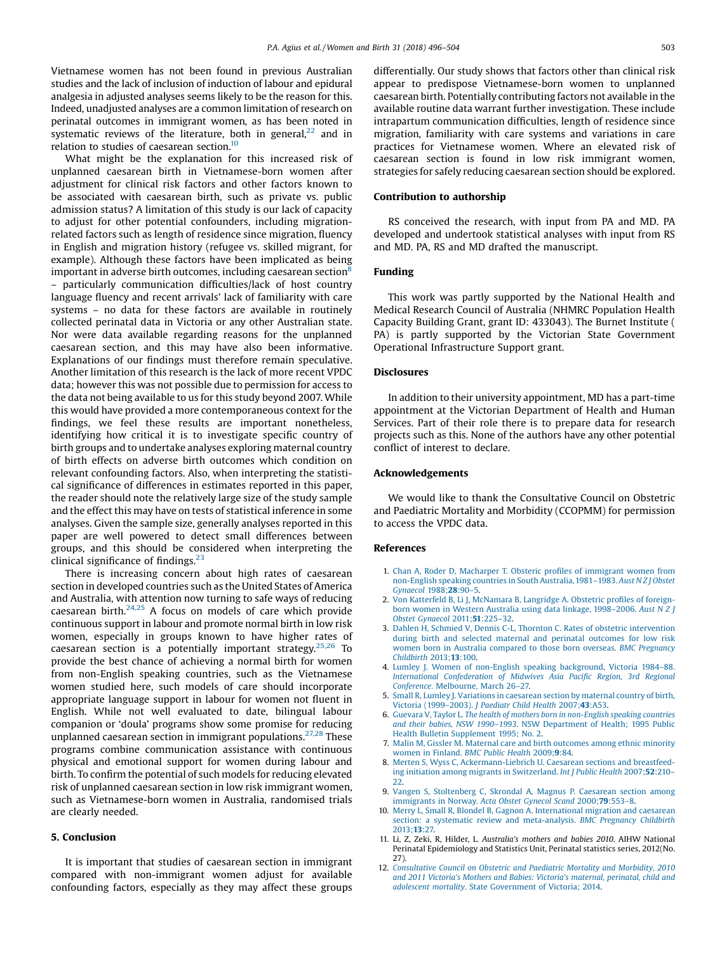<span id="page-7-0"></span>Vietnamese women has not been found in previous Australian studies and the lack of inclusion of induction of labour and epidural analgesia in adjusted analyses seems likely to be the reason for this. Indeed, unadjusted analyses are a common limitation of research on perinatal outcomes in immigrant women, as has been noted in systematic reviews of the literature, both in general, $22$  and in relation to studies of caesarean section.<sup>10</sup>

What might be the explanation for this increased risk of unplanned caesarean birth in Vietnamese-born women after adjustment for clinical risk factors and other factors known to be associated with caesarean birth, such as private vs. public admission status? A limitation of this study is our lack of capacity to adjust for other potential confounders, including migrationrelated factors such as length of residence since migration, fluency in English and migration history (refugee vs. skilled migrant, for example). Although these factors have been implicated as being important in adverse birth outcomes, including caesarean section<sup>8</sup> – particularly communication difficulties/lack of host country language fluency and recent arrivals' lack of familiarity with care systems – no data for these factors are available in routinely collected perinatal data in Victoria or any other Australian state. Nor were data available regarding reasons for the unplanned caesarean section, and this may have also been informative. Explanations of our findings must therefore remain speculative. Another limitation of this research is the lack of more recent VPDC data; however this was not possible due to permission for access to the data not being available to us for this study beyond 2007. While this would have provided a more contemporaneous context for the findings, we feel these results are important nonetheless, identifying how critical it is to investigate specific country of birth groups and to undertake analyses exploring maternal country of birth effects on adverse birth outcomes which condition on relevant confounding factors. Also, when interpreting the statistical significance of differences in estimates reported in this paper, the reader should note the relatively large size of the study sample and the effect this may have on tests of statistical inference in some analyses. Given the sample size, generally analyses reported in this paper are well powered to detect small differences between groups, and this should be considered when interpreting the clinical significance of findings. $23$ 

There is increasing concern about high rates of caesarean section in developed countries such as the United States of America and Australia, with attention now turning to safe ways of reducing caesarean birth. $24,25$  A focus on models of care which [provide](#page-8-0) continuous support in labour and promote normal birth in low risk women, especially in groups known to have higher rates of caesarean section is a potentially important strategy.25,26 [To](#page-8-0) provide the best chance of achieving a normal birth for women from non-English speaking countries, such as the Vietnamese women studied here, such models of care should incorporate appropriate language support in labour for women not fluent in English. While not well evaluated to date, bilingual labour companion or 'doula' programs show some promise for reducing unplanned caesarean section in immigrant populations.<sup>27,28</sup> [These](#page-8-0) programs combine communication assistance with continuous physical and emotional support for women during labour and birth. To confirm the potential of such models for reducing elevated risk of unplanned caesarean section in low risk immigrant women, such as Vietnamese-born women in Australia, randomised trials are clearly needed.

# 5. Conclusion

It is important that studies of caesarean section in immigrant compared with non-immigrant women adjust for available confounding factors, especially as they may affect these groups differentially. Our study shows that factors other than clinical risk appear to predispose Vietnamese-born women to unplanned caesarean birth. Potentially contributing factors not available in the available routine data warrant further investigation. These include intrapartum communication difficulties, length of residence since migration, familiarity with care systems and variations in care practices for Vietnamese women. Where an elevated risk of caesarean section is found in low risk immigrant women, strategies for safely reducing caesarean section should be explored.

### Contribution to authorship

RS conceived the research, with input from PA and MD. PA developed and undertook statistical analyses with input from RS and MD. PA, RS and MD drafted the manuscript.

#### Funding

This work was partly supported by the National Health and Medical Research Council of Australia (NHMRC Population Health Capacity Building Grant, grant ID: 433043). The Burnet Institute ( PA) is partly supported by the Victorian State Government Operational Infrastructure Support grant.

#### Disclosures

In addition to their university appointment, MD has a part-time appointment at the Victorian Department of Health and Human Services. Part of their role there is to prepare data for research projects such as this. None of the authors have any other potential conflict of interest to declare.

### Acknowledgements

We would like to thank the Consultative Council on Obstetric and Paediatric Mortality and Morbidity (CCOPMM) for permission to access the VPDC data.

#### **References**

- 1. Chan A, Roder D, [Macharper](http://refhub.elsevier.com/S1871-5192(17)30620-0/sbref0005) T. Obsteric profiles of immigrant women from non-English speaking countries in South Australia, 1981-1983. Aust N Z J Obstet [Gynaecol](http://refhub.elsevier.com/S1871-5192(17)30620-0/sbref0005) 1988;28:90–5.
- 2. Von Katterfeld B, Li J, [McNamara](http://refhub.elsevier.com/S1871-5192(17)30620-0/sbref0010) B, Langridge A. Obstetric profiles of foreign-born women in Western [Australia](http://refhub.elsevier.com/S1871-5192(17)30620-0/sbref0010) using data linkage, 1998–2006. Aust N Z J Obstet [Gynaecol](http://refhub.elsevier.com/S1871-5192(17)30620-0/sbref0010) 2011;51:225–32.
- 3. Dahlen H, Schmied V, Dennis C-L, Thornton C. Rates of obstetric [intervention](http://refhub.elsevier.com/S1871-5192(17)30620-0/sbref0015) during birth and selected maternal and perinatal [outcomes](http://refhub.elsevier.com/S1871-5192(17)30620-0/sbref0015) for low risk women born in Australia [compared](http://refhub.elsevier.com/S1871-5192(17)30620-0/sbref0015) to those born overseas. BMC Pregnancy [Childbirth](http://refhub.elsevier.com/S1871-5192(17)30620-0/sbref0015) 2013;13:100.
- 4. Lumley J. Women of non-English speaking [background,](http://refhub.elsevier.com/S1871-5192(17)30620-0/sbref0020) Victoria 1984–88. International [Confederation](http://refhub.elsevier.com/S1871-5192(17)30620-0/sbref0020) of Midwives Asia Pacific Region, 3rd Regional Conference. [Melbourne,](http://refhub.elsevier.com/S1871-5192(17)30620-0/sbref0020) March 26–27.
- 5. Small R, Lumley J. [Variations](http://refhub.elsevier.com/S1871-5192(17)30620-0/sbref0025) in caesarean section by maternal country of birth, Victoria (1999–2003). J [Paediatr](http://refhub.elsevier.com/S1871-5192(17)30620-0/sbref0025) Child Health 2007;43:A53.
- 6. Guevara V, Taylor L. The health of mothers born in [non-English](http://refhub.elsevier.com/S1871-5192(17)30620-0/sbref0030) speaking countries and their babies, NSW 1990–1993. NSW [Department](http://refhub.elsevier.com/S1871-5192(17)30620-0/sbref0030) of Health; 1995 Public Health Bulletin [Supplement](http://refhub.elsevier.com/S1871-5192(17)30620-0/sbref0030) 1995; No. 2.
- 7. Malin M, Gissler M. Maternal care and birth [outcomes](http://refhub.elsevier.com/S1871-5192(17)30620-0/sbref0035) among ethnic minority women in [Finland.](http://refhub.elsevier.com/S1871-5192(17)30620-0/sbref0035) BMC Public Health 2009;9:84.
- 8. Merten S, Wyss C, [Ackermann-Liebrich](http://refhub.elsevier.com/S1871-5192(17)30620-0/sbref0040) U. Caesarean sections and breastfeeding initiation among migrants in [Switzerland.](http://refhub.elsevier.com/S1871-5192(17)30620-0/sbref0040) Int J Public Health 2007;52:210–  $22.$  $22.$
- 9. Vangen S, [Stoltenberg](http://refhub.elsevier.com/S1871-5192(17)30620-0/sbref0045) C, Skrondal A, Magnus P. Caesarean section among [immigrants](http://refhub.elsevier.com/S1871-5192(17)30620-0/sbref0045) in Norway. Acta Obstet Gynecol Scand 2000;79:553–8.
- 10. Merry L, Small R, Blondel B, Gagnon A. [International](http://refhub.elsevier.com/S1871-5192(17)30620-0/sbref0050) migration and caesarean section: a systematic review and [meta-analysis.](http://refhub.elsevier.com/S1871-5192(17)30620-0/sbref0050) BMC Pregnancy Childbirth [2013;](http://refhub.elsevier.com/S1871-5192(17)30620-0/sbref0050)13:27.
- 11. Li, Z, Zeki, R, Hilder, L. Australia's mothers and babies 2010. AIHW National Perinatal Epidemiology and Statistics Unit, Perinatal statistics series, 2012(No. 27).
- 12. [Consultative](http://refhub.elsevier.com/S1871-5192(17)30620-0/sbref0060) Council on Obstetric and Paediatric Mortality and Morbidity, 2010 and 2011 Victoria's Mothers and Babies: Victoria's [maternal,](http://refhub.elsevier.com/S1871-5192(17)30620-0/sbref0060) perinatal, child and adolescent mortality. State [Government](http://refhub.elsevier.com/S1871-5192(17)30620-0/sbref0060) of Victoria; 2014.